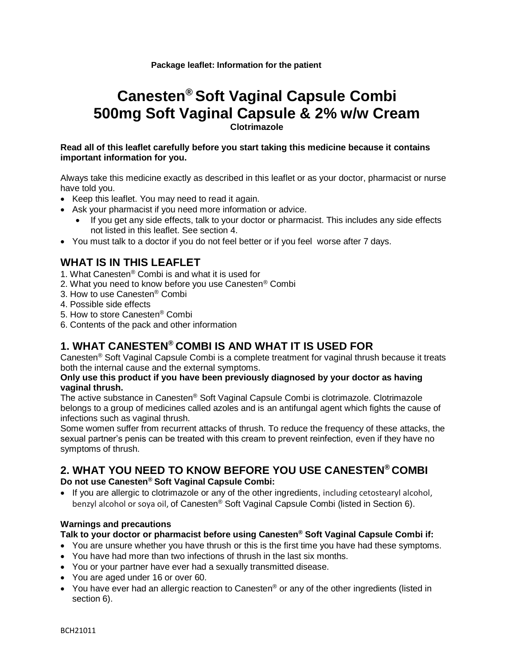#### **Package leaflet: Information for the patient**

## **Canesten® Soft Vaginal Capsule Combi 500mg Soft Vaginal Capsule & 2% w/w Cream Clotrimazole**

#### **Read all of this leaflet carefully before you start taking this medicine because it contains important information for you.**

Always take this medicine exactly as described in this leaflet or as your doctor, pharmacist or nurse have told you.

- Keep this leaflet. You may need to read it again.
- Ask your pharmacist if you need more information or advice.
	- If you get any side effects, talk to your doctor or pharmacist. This includes any side effects not listed in this leaflet. See section 4.
- You must talk to a doctor if you do not feel better or if you feel worse after 7 days.

## **WHAT IS IN THIS LEAFLET**

- 1. What Canesten® Combi is and what it is used for
- 2. What you need to know before you use Canesten® Combi
- 3. How to use Canesten® Combi
- 4. Possible side effects
- 5. How to store Canesten® Combi
- 6. Contents of the pack and other information

## **1. WHAT CANESTEN® COMBI IS AND WHAT IT IS USED FOR**

Canesten® Soft Vaginal Capsule Combi is a complete treatment for vaginal thrush because it treats both the internal cause and the external symptoms.

#### **Only use this product if you have been previously diagnosed by your doctor as having vaginal thrush.**

The active substance in Canesten® Soft Vaginal Capsule Combi is clotrimazole. Clotrimazole belongs to a group of medicines called azoles and is an antifungal agent which fights the cause of infections such as vaginal thrush.

Some women suffer from recurrent attacks of thrush. To reduce the frequency of these attacks, the sexual partner's penis can be treated with this cream to prevent reinfection, even if they have no symptoms of thrush.

# **2. WHAT YOU NEED TO KNOW BEFORE YOU USE CANESTEN® COMBI**

#### **Do not use Canesten® Soft Vaginal Capsule Combi:**

 If you are allergic to clotrimazole or any of the other ingredients, including cetostearyl alcohol, benzyl alcohol or soya oil, of Canesten® Soft Vaginal Capsule Combi (listed in Section 6).

#### **Warnings and precautions**

#### **Talk to your doctor or pharmacist before using Canesten® Soft Vaginal Capsule Combi if:**

- You are unsure whether you have thrush or this is the first time you have had these symptoms.
- You have had more than two infections of thrush in the last six months.
- You or your partner have ever had a sexually transmitted disease.
- You are aged under 16 or over 60.
- You have ever had an allergic reaction to Canesten<sup>®</sup> or any of the other ingredients (listed in section 6).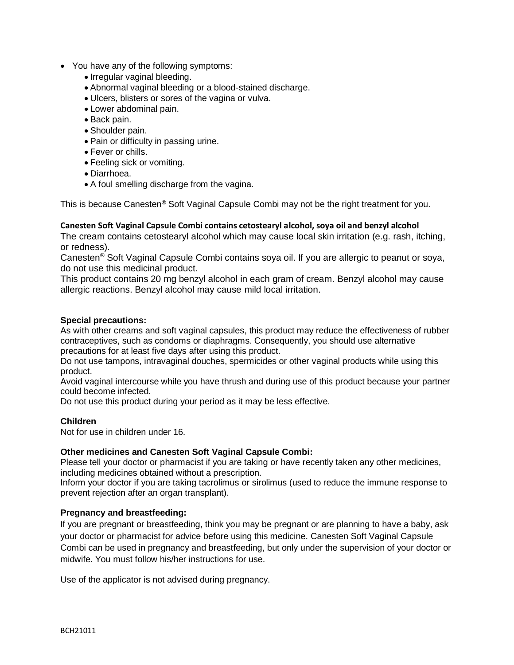- You have any of the following symptoms:
	- Irregular vaginal bleeding.
	- Abnormal vaginal bleeding or a blood-stained discharge.
	- Ulcers, blisters or sores of the vagina or vulva.
	- Lower abdominal pain.
	- Back pain.
	- Shoulder pain.
	- Pain or difficulty in passing urine.
	- Fever or chills.
	- Feeling sick or vomiting.
	- Diarrhoea.
	- A foul smelling discharge from the vagina.

This is because Canesten<sup>®</sup> Soft Vaginal Capsule Combi may not be the right treatment for you.

#### **Canesten Soft Vaginal Capsule Combi contains cetostearyl alcohol, soya oil and benzyl alcohol**

The cream contains cetostearyl alcohol which may cause local skin irritation (e.g. rash, itching, or redness).

Canesten® Soft Vaginal Capsule Combi contains soya oil. If you are allergic to peanut or soya, do not use this medicinal product.

This product contains 20 mg benzyl alcohol in each gram of cream. Benzyl alcohol may cause allergic reactions. Benzyl alcohol may cause mild local irritation.

#### **Special precautions:**

As with other creams and soft vaginal capsules, this product may reduce the effectiveness of rubber contraceptives, such as condoms or diaphragms. Consequently, you should use alternative precautions for at least five days after using this product.

Do not use tampons, intravaginal douches, spermicides or other vaginal products while using this product.

Avoid vaginal intercourse while you have thrush and during use of this product because your partner could become infected.

Do not use this product during your period as it may be less effective.

#### **Children**

Not for use in children under 16.

#### **Other medicines and Canesten Soft Vaginal Capsule Combi:**

Please tell your doctor or pharmacist if you are taking or have recently taken any other medicines, including medicines obtained without a prescription.

Inform your doctor if you are taking tacrolimus or sirolimus (used to reduce the immune response to prevent rejection after an organ transplant).

#### **Pregnancy and breastfeeding:**

If you are pregnant or breastfeeding, think you may be pregnant or are planning to have a baby, ask your doctor or pharmacist for advice before using this medicine. Canesten Soft Vaginal Capsule Combi can be used in pregnancy and breastfeeding, but only under the supervision of your doctor or midwife. You must follow his/her instructions for use.

Use of the applicator is not advised during pregnancy.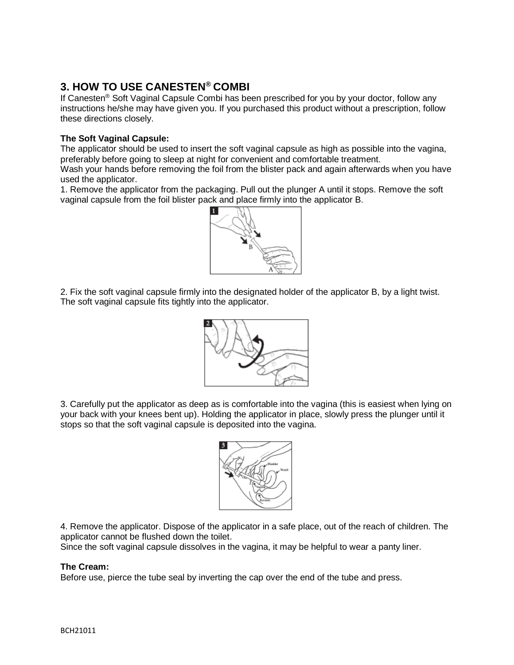## **3. HOW TO USE CANESTEN® COMBI**

If Canesten® Soft Vaginal Capsule Combi has been prescribed for you by your doctor, follow any instructions he/she may have given you. If you purchased this product without a prescription, follow these directions closely.

#### **The Soft Vaginal Capsule:**

The applicator should be used to insert the soft vaginal capsule as high as possible into the vagina, preferably before going to sleep at night for convenient and comfortable treatment.

Wash your hands before removing the foil from the blister pack and again afterwards when you have used the applicator.

1. Remove the applicator from the packaging. Pull out the plunger A until it stops. Remove the soft vaginal capsule from the foil blister pack and place firmly into the applicator B.



2. Fix the soft vaginal capsule firmly into the designated holder of the applicator B, by a light twist. The soft vaginal capsule fits tightly into the applicator.



3. Carefully put the applicator as deep as is comfortable into the vagina (this is easiest when lying on your back with your knees bent up). Holding the applicator in place, slowly press the plunger until it stops so that the soft vaginal capsule is deposited into the vagina.



4. Remove the applicator. Dispose of the applicator in a safe place, out of the reach of children. The applicator cannot be flushed down the toilet.

Since the soft vaginal capsule dissolves in the vagina, it may be helpful to wear a panty liner.

#### **The Cream:**

Before use, pierce the tube seal by inverting the cap over the end of the tube and press.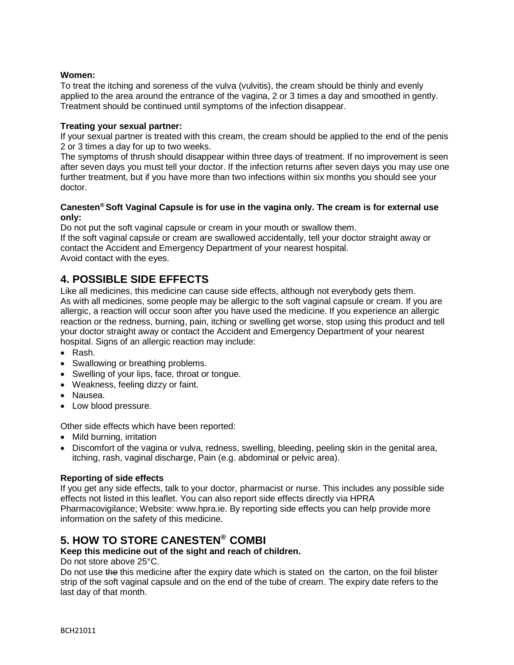#### **Women:**

To treat the itching and soreness of the vulva (vulvitis), the cream should be thinly and evenly applied to the area around the entrance of the vagina, 2 or 3 times a day and smoothed in gently. Treatment should be continued until symptoms of the infection disappear.

#### **Treating your sexual partner:**

If your sexual partner is treated with this cream, the cream should be applied to the end of the penis 2 or 3 times a day for up to two weeks.

The symptoms of thrush should disappear within three days of treatment. If no improvement is seen after seven days you must tell your doctor. If the infection returns after seven days you may use one further treatment, but if you have more than two infections within six months you should see your doctor.

#### **Canesten® Soft Vaginal Capsule is for use in the vagina only. The cream is for external use only:**

Do not put the soft vaginal capsule or cream in your mouth or swallow them.

If the soft vaginal capsule or cream are swallowed accidentally, tell your doctor straight away or contact the Accident and Emergency Department of your nearest hospital. Avoid contact with the eyes.

## **4. POSSIBLE SIDE EFFECTS**

Like all medicines, this medicine can cause side effects, although not everybody gets them. As with all medicines, some people may be allergic to the soft vaginal capsule or cream. If you are allergic, a reaction will occur soon after you have used the medicine. If you experience an allergic reaction or the redness, burning, pain, itching or swelling get worse, stop using this product and tell your doctor straight away or contact the Accident and Emergency Department of your nearest hospital. Signs of an allergic reaction may include:

- Rash.
- Swallowing or breathing problems.
- Swelling of your lips, face, throat or tongue.
- Weakness, feeling dizzy or faint.
- Nausea.
- Low blood pressure.

Other side effects which have been reported:

- Mild burning, irritation
- Discomfort of the vagina or vulva, redness, swelling, bleeding, peeling skin in the genital area, itching, rash, vaginal discharge, Pain (e.g. abdominal or pelvic area).

#### **Reporting of side effects**

If you get any side effects, talk to your doctor, pharmacist or nurse. This includes any possible side effects not listed in this leaflet. You can also report side effects directly via HPRA Pharmacovigilance; Website: www.hpra.ie. By reporting side effects you can help provide more information on the safety of this medicine.

## **5. HOW TO STORE CANESTEN® COMBI**

### **Keep this medicine out of the sight and reach of children.**

Do not store above 25°C.

Do not use the this medicine after the expiry date which is stated on the carton, on the foil blister strip of the soft vaginal capsule and on the end of the tube of cream. The expiry date refers to the last day of that month.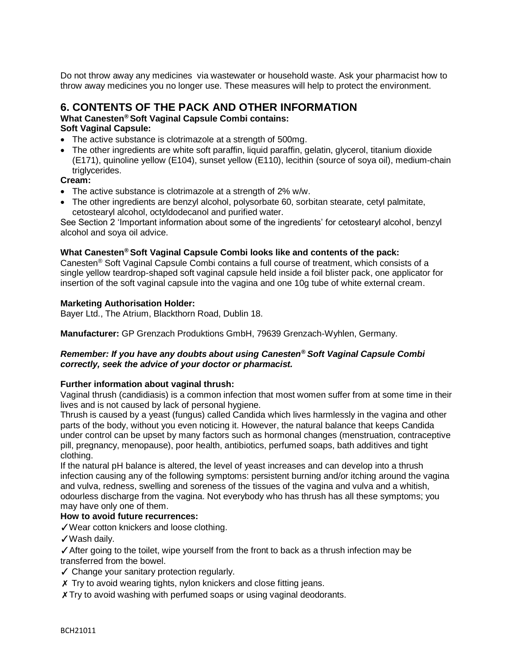Do not throw away any medicines via wastewater or household waste. Ask your pharmacist how to throw away medicines you no longer use. These measures will help to protect the environment.

## **6. CONTENTS OF THE PACK AND OTHER INFORMATION**

#### **What Canesten® Soft Vaginal Capsule Combi contains: Soft Vaginal Capsule:**

- The active substance is clotrimazole at a strength of 500mg.
- The other ingredients are white soft paraffin, liquid paraffin, gelatin, glycerol, titanium dioxide (E171), quinoline yellow (E104), sunset yellow (E110), lecithin (source of soya oil), medium-chain triglycerides.

#### **Cream:**

- The active substance is clotrimazole at a strength of 2% w/w.
- The other ingredients are benzyl alcohol, polysorbate 60, sorbitan stearate, cetyl palmitate, cetostearyl alcohol, octyldodecanol and purified water.

See Section 2 'Important information about some of the ingredients' for cetostearyl alcohol, benzyl alcohol and soya oil advice.

#### **What Canesten® Soft Vaginal Capsule Combi looks like and contents of the pack:**

Canesten® Soft Vaginal Capsule Combi contains a full course of treatment, which consists of a single yellow teardrop-shaped soft vaginal capsule held inside a foil blister pack, one applicator for insertion of the soft vaginal capsule into the vagina and one 10g tube of white external cream.

#### **Marketing Authorisation Holder:**

Bayer Ltd., The Atrium, Blackthorn Road, Dublin 18.

**Manufacturer:** GP Grenzach Produktions GmbH, 79639 Grenzach-Wyhlen, Germany.

#### *Remember: If you have any doubts about using Canesten***®** *Soft Vaginal Capsule Combi correctly, seek the advice of your doctor or pharmacist.*

#### **Further information about vaginal thrush:**

Vaginal thrush (candidiasis) is a common infection that most women suffer from at some time in their lives and is not caused by lack of personal hygiene.

Thrush is caused by a yeast (fungus) called Candida which lives harmlessly in the vagina and other parts of the body, without you even noticing it. However, the natural balance that keeps Candida under control can be upset by many factors such as hormonal changes (menstruation, contraceptive pill, pregnancy, menopause), poor health, antibiotics, perfumed soaps, bath additives and tight clothing.

If the natural pH balance is altered, the level of yeast increases and can develop into a thrush infection causing any of the following symptoms: persistent burning and/or itching around the vagina and vulva, redness, swelling and soreness of the tissues of the vagina and vulva and a whitish, odourless discharge from the vagina. Not everybody who has thrush has all these symptoms; you may have only one of them.

#### **How to avoid future recurrences:**

✓Wear cotton knickers and loose clothing.

✓Wash daily.

✓After going to the toilet, wipe yourself from the front to back as a thrush infection may be transferred from the bowel.

- ✓ Change your sanitary protection regularly.
- X Try to avoid wearing tights, nylon knickers and close fitting jeans.
- X Try to avoid washing with perfumed soaps or using vaginal deodorants.